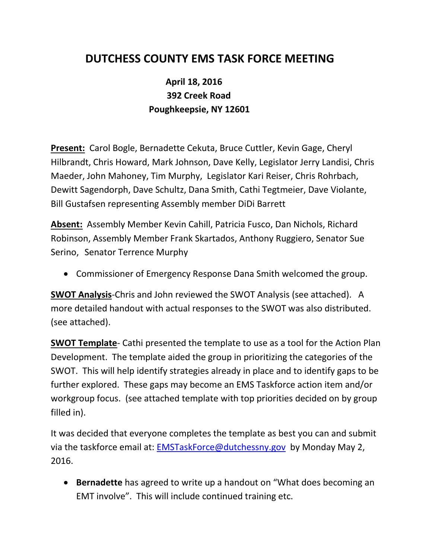## **DUTCHESS COUNTY EMS TASK FORCE MEETING**

## **April 18, 2016 392 Creek Road Poughkeepsie, NY 12601**

**Present:** Carol Bogle, Bernadette Cekuta, Bruce Cuttler, Kevin Gage, Cheryl Hilbrandt, Chris Howard, Mark Johnson, Dave Kelly, Legislator Jerry Landisi, Chris Maeder, John Mahoney, Tim Murphy, Legislator Kari Reiser, Chris Rohrbach, Dewitt Sagendorph, Dave Schultz, Dana Smith, Cathi Tegtmeier, Dave Violante, Bill Gustafsen representing Assembly member DiDi Barrett

**Absent:** Assembly Member Kevin Cahill, Patricia Fusco, Dan Nichols, Richard Robinson, Assembly Member Frank Skartados, Anthony Ruggiero, Senator Sue Serino, Senator Terrence Murphy

Commissioner of Emergency Response Dana Smith welcomed the group.

**SWOT Analysis**-Chris and John reviewed the SWOT Analysis (see attached). A more detailed handout with actual responses to the SWOT was also distributed. (see attached).

**SWOT Template**- Cathi presented the template to use as a tool for the Action Plan Development. The template aided the group in prioritizing the categories of the SWOT. This will help identify strategies already in place and to identify gaps to be further explored. These gaps may become an EMS Taskforce action item and/or workgroup focus. (see attached template with top priorities decided on by group filled in).

It was decided that everyone completes the template as best you can and submit via the taskforce email at: **EMSTaskForce@dutchessny.gov** by Monday May 2, 2016.

 **Bernadette** has agreed to write up a handout on "What does becoming an EMT involve". This will include continued training etc.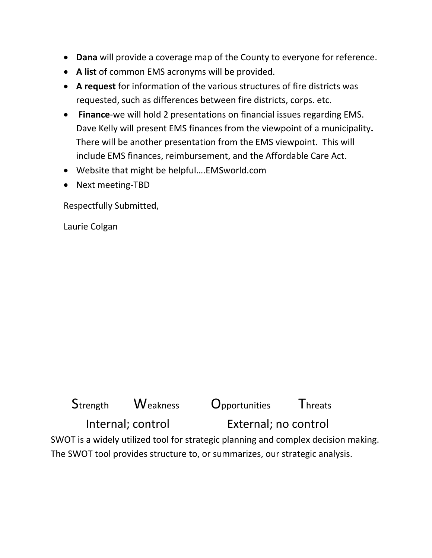- **Dana** will provide a coverage map of the County to everyone for reference.
- **A list** of common EMS acronyms will be provided.
- **A request** for information of the various structures of fire districts was requested, such as differences between fire districts, corps. etc.
- **Finance**-we will hold 2 presentations on financial issues regarding EMS. Dave Kelly will present EMS finances from the viewpoint of a municipality**.** There will be another presentation from the EMS viewpoint. This will include EMS finances, reimbursement, and the Affordable Care Act.
- Website that might be helpful….EMSworld.com
- Next meeting-TBD

Respectfully Submitted,

Laurie Colgan

| Strength          | <b>Weakness</b> | <b>Opportunities</b>                                                               | <b>Threats</b> |  |
|-------------------|-----------------|------------------------------------------------------------------------------------|----------------|--|
| Internal; control |                 | External; no control                                                               |                |  |
|                   |                 | SWOT is a widely utilized tool for strategic planning and complex decision making. |                |  |

The SWOT tool provides structure to, or summarizes, our strategic analysis.